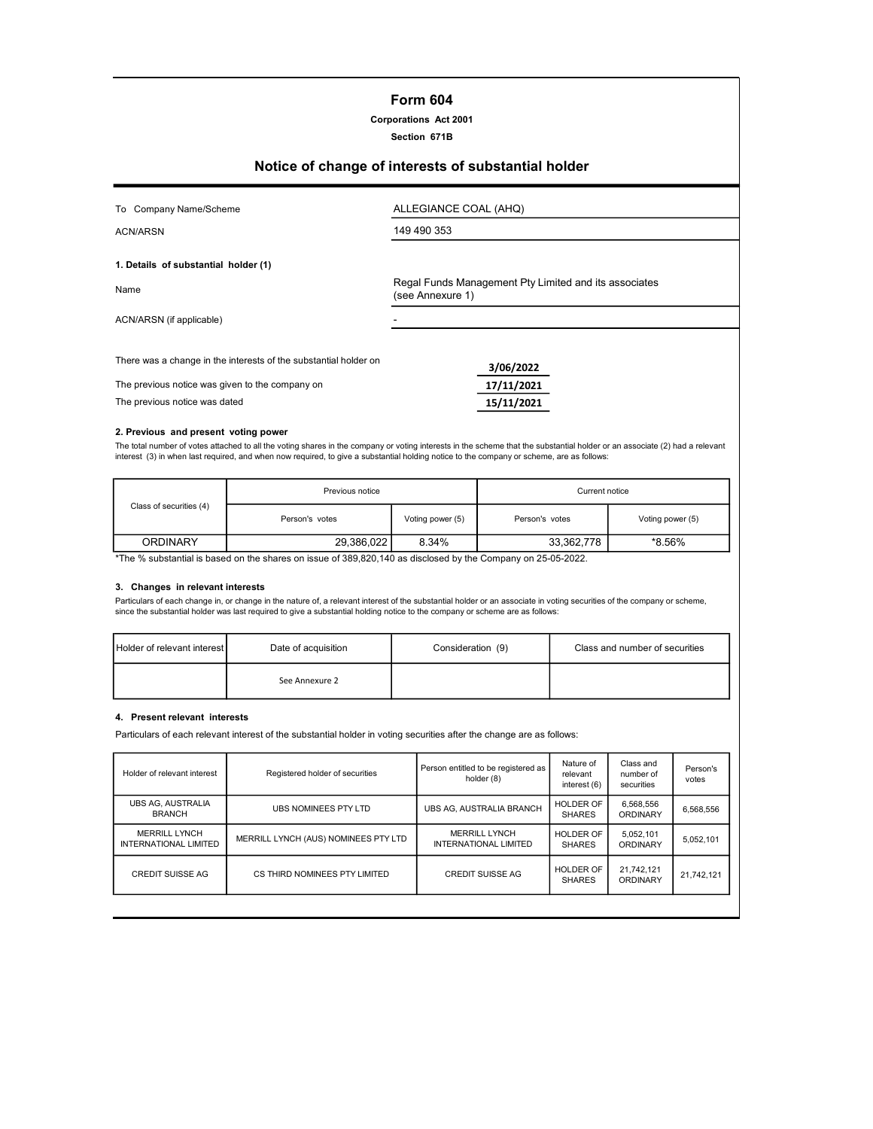# Form 604

Corporations Act 2001

#### Section 671B

# Notice of change of interests of substantial holder

| Company Name/Scheme<br>To                                        | ALLEGIANCE COAL (AHQ)                                                     |
|------------------------------------------------------------------|---------------------------------------------------------------------------|
| <b>ACN/ARSN</b>                                                  | 149 490 353                                                               |
| 1. Details of substantial holder (1)                             |                                                                           |
| Name                                                             | Regal Funds Management Pty Limited and its associates<br>(see Annexure 1) |
| ACN/ARSN (if applicable)                                         |                                                                           |
|                                                                  |                                                                           |
| There was a change in the interests of the substantial holder on | 3/06/2022                                                                 |
| The previous notice was given to the company on                  | 17/11/2021                                                                |
| The previous notice was dated                                    | 15/11/2021                                                                |
|                                                                  |                                                                           |

#### 2. Previous and present voting power

The total number of votes attached to all the voting shares in the company or voting interests in the scheme that the substantial holder or an associate (2) had a relevant<br>interest (3) in when last required, and when now r

|                         | Previous notice |                  | Current notice |                  |  |
|-------------------------|-----------------|------------------|----------------|------------------|--|
| Class of securities (4) | Person's votes  | Voting power (5) | Person's votes | Voting power (5) |  |
| <b>ORDINARY</b>         | 29,386,022      | 8.34%            | 33,362,778     | *8.56%           |  |

\*The % substantial is based on the shares on issue of 389,820,140 as disclosed by the Company on 25-05-2022.

#### 3. Changes in relevant interests

Particulars of each change in, or change in the nature of, a relevant interest of the substantial holder or an associate in voting securities of the company or scheme, since the substantial holder was last required to give a substantial holding notice to the company or scheme are as follows:

| Holder of relevant interest<br>Date of acquisition |                | Consideration (9) | Class and number of securities |  |
|----------------------------------------------------|----------------|-------------------|--------------------------------|--|
|                                                    | See Annexure 2 |                   |                                |  |

#### 4. Present relevant interests

Particulars of each relevant interest of the substantial holder in voting securities after the change are as follows:

| Holder of relevant interest                          | Registered holder of securities      | Person entitled to be registered as<br>holder (8) | Nature of<br>relevant<br>interest (6) | Class and<br>number of<br>securities | Person's<br>votes |
|------------------------------------------------------|--------------------------------------|---------------------------------------------------|---------------------------------------|--------------------------------------|-------------------|
| <b>UBS AG. AUSTRALIA</b><br><b>BRANCH</b>            | <b>UBS NOMINEES PTY LTD</b>          | UBS AG. AUSTRALIA BRANCH                          | <b>HOLDER OF</b><br><b>SHARES</b>     | 6.568.556<br>ORDINARY                | 6.568.556         |
| <b>MERRILL LYNCH</b><br><b>INTERNATIONAL LIMITED</b> | MERRILL LYNCH (AUS) NOMINEES PTY LTD | MERRILL LYNCH<br>INTERNATIONAL LIMITED            | HOLDER OF<br><b>SHARES</b>            | 5.052.101<br>ORDINARY                | 5,052,101         |
| <b>CREDIT SUISSE AG</b>                              | CS THIRD NOMINEES PTY LIMITED        | <b>CREDIT SUISSE AG</b>                           | HOLDER OF<br><b>SHARES</b>            | 21.742.121<br>ORDINARY               | 21,742,121        |
|                                                      |                                      |                                                   |                                       |                                      |                   |